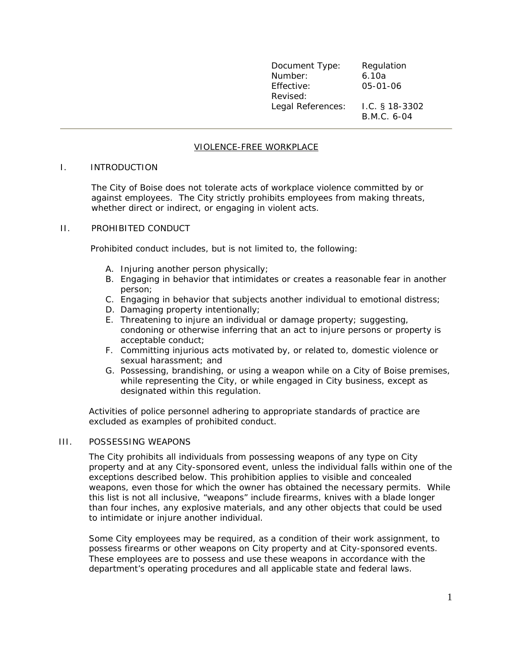| Document Type:<br>Number: | Regulation<br>6.10a             |
|---------------------------|---------------------------------|
| Effective:<br>Revised:    | 05-01-06                        |
| Legal References:         | $1.C.$ § 18-3302<br>B.M.C. 6-04 |

# VIOLENCE-FREE WORKPLACE

### I. INTRODUCTION

 The City of Boise does not tolerate acts of workplace violence committed by or against employees. The City strictly prohibits employees from making threats, whether direct or indirect, or engaging in violent acts.

#### II. PROHIBITED CONDUCT

Prohibited conduct includes, but is not limited to, the following:

- A. Injuring another person physically;
- B. Engaging in behavior that intimidates or creates a reasonable fear in another person;
- C. Engaging in behavior that subjects another individual to emotional distress;
- D. Damaging property intentionally;
- E. Threatening to injure an individual or damage property; suggesting, condoning or otherwise inferring that an act to injure persons or property is acceptable conduct;
- F. Committing injurious acts motivated by, or related to, domestic violence or sexual harassment; and
- G. Possessing, brandishing, or using a weapon while on a City of Boise premises, while representing the City, or while engaged in City business, except as designated within this regulation.

Activities of police personnel adhering to appropriate standards of practice are excluded as examples of prohibited conduct.

#### III. POSSESSING WEAPONS

The City prohibits all individuals from possessing weapons of any type on City property and at any City-sponsored event, unless the individual falls within one of the exceptions described below. This prohibition applies to visible and concealed weapons, even those for which the owner has obtained the necessary permits. While this list is not all inclusive, "weapons" include firearms, knives with a blade longer than four inches, any explosive materials, and any other objects that could be used to intimidate or injure another individual.

Some City employees may be required, as a condition of their work assignment, to possess firearms or other weapons on City property and at City-sponsored events. These employees are to possess and use these weapons in accordance with the department's operating procedures and all applicable state and federal laws.